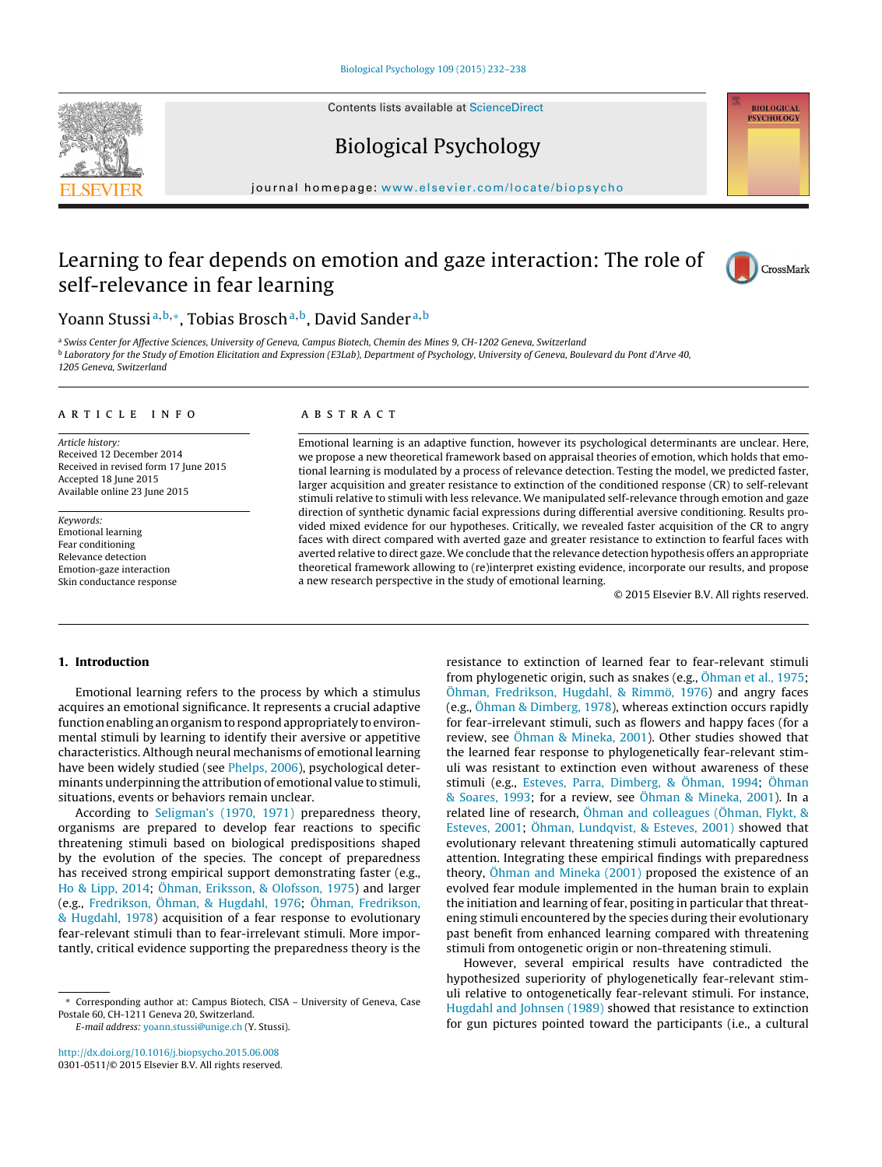Contents lists available at [ScienceDirect](http://www.sciencedirect.com/science/journal/03010511)





# Biological Psychology

journal homepage: [www.elsevier.com/locate/biopsycho](http://www.elsevier.com/locate/biopsycho)

## Learning to fear depends on emotion and gaze interaction: The role of self-relevance in fear learning



### Yoann Stussi<sup>a,b,∗</sup>, Tobias Brosch<sup>a,b</sup>, David Sander<sup>a,b</sup>

a Swiss Center for Affective Sciences, University of Geneva, Campus Biotech, Chemin des Mines 9, CH-1202 Geneva, Switzerland <sup>b</sup> Laboratory for the Study of Emotion Elicitation and Expression (E3Lab), Department of Psychology, University of Geneva, Boulevard du Pont d'Arve 40, 1205 Geneva, Switzerland

#### article info

Article history: Received 12 December 2014 Received in revised form 17 June 2015 Accepted 18 June 2015 Available online 23 June 2015

Keywords: Emotional learning Fear conditioning Relevance detection Emotion-gaze interaction Skin conductance response

#### ABSTRACT

Emotional learning is an adaptive function, however its psychological determinants are unclear. Here, we propose a new theoretical framework based on appraisal theories of emotion, which holds that emotional learning is modulated by a process of relevance detection. Testing the model, we predicted faster, larger acquisition and greater resistance to extinction of the conditioned response (CR) to self-relevant stimuli relative to stimuli with less relevance. We manipulated self-relevance through emotion and gaze direction of synthetic dynamic facial expressions during differential aversive conditioning. Results provided mixed evidence for our hypotheses. Critically, we revealed faster acquisition of the CR to angry faces with direct compared with averted gaze and greater resistance to extinction to fearful faces with averted relative to direct gaze. We conclude that the relevance detection hypothesis offers an appropriate theoretical framework allowing to (re)interpret existing evidence, incorporate our results, and propose a new research perspective in the study of emotional learning.

© 2015 Elsevier B.V. All rights reserved.

#### **1. Introduction**

Emotional learning refers to the process by which a stimulus acquires an emotional significance. It represents a crucial adaptive function enabling an organism to respond appropriately to environmental stimuli by learning to identify their aversive or appetitive characteristics. Although neural mechanisms of emotional learning have been widely studied (see [Phelps, 2006\),](#page--1-0) psychological determinants underpinning the attribution of emotional value to stimuli, situations, events or behaviors remain unclear.

According to [Seligman's \(1970, 1971\)](#page--1-0) preparedness theory, organisms are prepared to develop fear reactions to specific threatening stimuli based on biological predispositions shaped by the evolution of the species. The concept of preparedness has received strong empirical support demonstrating faster (e.g., [Ho & Lipp, 2014;](#page--1-0) [Öhman, Eriksson, & Olofsson, 1975\)](#page--1-0) and larger (e.g., [Fredrikson, Öhman, & Hugdahl, 1976;](#page--1-0) [Öhman, Fredrikson,](#page--1-0) [& Hugdahl, 1978\)](#page--1-0) acquisition of a fear response to evolutionary fear-relevant stimuli than to fear-irrelevant stimuli. More importantly, critical evidence supporting the preparedness theory is the

E-mail address: [yoann.stussi@unige.ch](mailto:yoann.stussi@unige.ch) (Y. Stussi).

[http://dx.doi.org/10.1016/j.biopsycho.2015.06.008](dx.doi.org/10.1016/j.biopsycho.2015.06.008) 0301-0511/© 2015 Elsevier B.V. All rights reserved.

resistance to extinction of learned fear to fear-relevant stimuli from phylogenetic origin, such as snakes (e.g., [Öhman et al., 1975;](#page--1-0) [Öhman, Fredrikson, Hugdahl, & Rimmö, 1976\)](#page--1-0) and angry faces (e.g., [Öhman & Dimberg, 1978\),](#page--1-0) whereas extinction occurs rapidly for fear-irrelevant stimuli, such as flowers and happy faces (for a review, see [Öhman & Mineka, 2001\).](#page--1-0) Other studies showed that the learned fear response to phylogenetically fear-relevant stimuli was resistant to extinction even without awareness of these stimuli (e.g., [Esteves, Parra, Dimberg, & Öhman, 1994;](#page--1-0) [Öhman](#page--1-0) [& Soares, 1993;](#page--1-0) for a review, see [Öhman & Mineka, 2001\).](#page--1-0) In a related line of research, [Öhman and colleagues \(Öhman, Flykt, &](#page--1-0) [Esteves, 2001;](#page--1-0) [Öhman, Lundqvist, & Esteves, 2001\)](#page--1-0) showed that evolutionary relevant threatening stimuli automatically captured attention. Integrating these empirical findings with preparedness theory, [Öhman and Mineka \(2001\)](#page--1-0) proposed the existence of an evolved fear module implemented in the human brain to explain the initiation and learning of fear, positing in particular that threatening stimuli encountered by the species during their evolutionary past benefit from enhanced learning compared with threatening stimuli from ontogenetic origin or non-threatening stimuli.

However, several empirical results have contradicted the hypothesized superiority of phylogenetically fear-relevant stimuli relative to ontogenetically fear-relevant stimuli. For instance, [Hugdahl and Johnsen \(1989\)](#page--1-0) showed that resistance to extinction for gun pictures pointed toward the participants (i.e., a cultural

<sup>∗</sup> Corresponding author at: Campus Biotech, CISA – University of Geneva, Case Postale 60, CH-1211 Geneva 20, Switzerland.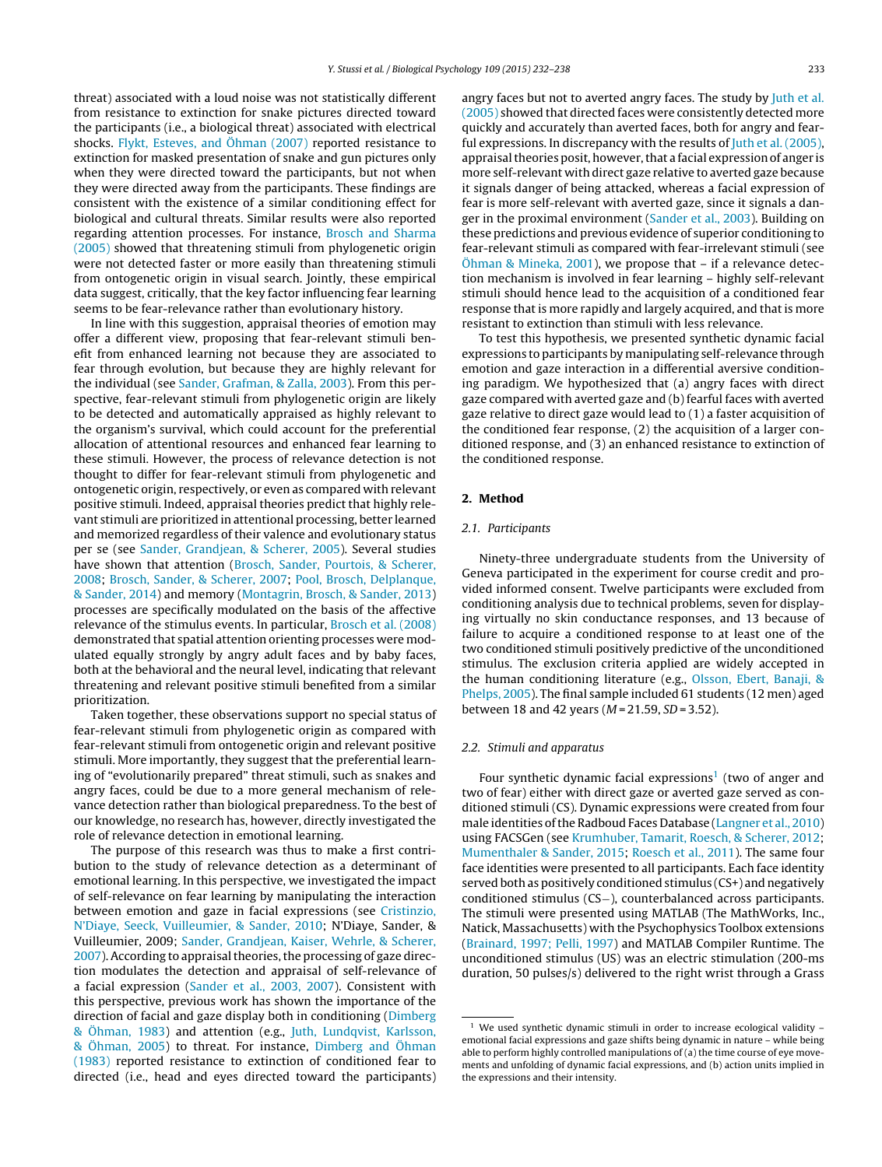threat) associated with a loud noise was not statistically different from resistance to extinction for snake pictures directed toward the participants (i.e., a biological threat) associated with electrical shocks. [Flykt, Esteves, and Öhman \(2007\)](#page--1-0) reported resistance to extinction for masked presentation of snake and gun pictures only when they were directed toward the participants, but not when they were directed away from the participants. These findings are consistent with the existence of a similar conditioning effect for biological and cultural threats. Similar results were also reported regarding attention processes. For instance, [Brosch and Sharma](#page--1-0) [\(2005\)](#page--1-0) showed that threatening stimuli from phylogenetic origin were not detected faster or more easily than threatening stimuli from ontogenetic origin in visual search. Jointly, these empirical data suggest, critically, that the key factor influencing fear learning seems to be fear-relevance rather than evolutionary history.

In line with this suggestion, appraisal theories of emotion may offer a different view, proposing that fear-relevant stimuli benefit from enhanced learning not because they are associated to fear through evolution, but because they are highly relevant for the individual (see [Sander, Grafman, & Zalla, 2003\).](#page--1-0) From this perspective, fear-relevant stimuli from phylogenetic origin are likely to be detected and automatically appraised as highly relevant to the organism's survival, which could account for the preferential allocation of attentional resources and enhanced fear learning to these stimuli. However, the process of relevance detection is not thought to differ for fear-relevant stimuli from phylogenetic and ontogenetic origin, respectively, or even as compared with relevant positive stimuli. Indeed, appraisal theories predict that highly relevant stimuli are prioritized in attentional processing, better learned and memorized regardless of their valence and evolutionary status per se (see [Sander, Grandjean, & Scherer, 2005\).](#page--1-0) Several studies have shown that attention [\(Brosch, Sander, Pourtois, & Scherer,](#page--1-0) [2008;](#page--1-0) [Brosch, Sander, & Scherer, 2007;](#page--1-0) [Pool, Brosch, Delplanque,](#page--1-0) [& Sander, 2014\)](#page--1-0) and memory [\(Montagrin, Brosch, & Sander, 2013\)](#page--1-0) processes are specifically modulated on the basis of the affective relevance of the stimulus events. In particular, [Brosch et al. \(2008\)](#page--1-0) demonstrated that spatial attention orienting processes were modulated equally strongly by angry adult faces and by baby faces, both at the behavioral and the neural level, indicating that relevant threatening and relevant positive stimuli benefited from a similar prioritization.

Taken together, these observations support no special status of fear-relevant stimuli from phylogenetic origin as compared with fear-relevant stimuli from ontogenetic origin and relevant positive stimuli. More importantly, they suggest that the preferential learning of "evolutionarily prepared" threat stimuli, such as snakes and angry faces, could be due to a more general mechanism of relevance detection rather than biological preparedness. To the best of our knowledge, no research has, however, directly investigated the role of relevance detection in emotional learning.

The purpose of this research was thus to make a first contribution to the study of relevance detection as a determinant of emotional learning. In this perspective, we investigated the impact of self-relevance on fear learning by manipulating the interaction between emotion and gaze in facial expressions (see [Cristinzio,](#page--1-0) [N'Diaye, Seeck, Vuilleumier, & Sander, 2010;](#page--1-0) N'Diaye, Sander, & Vuilleumier, 2009; [Sander, Grandjean, Kaiser, Wehrle, & Scherer,](#page--1-0) [2007\).](#page--1-0) According to appraisal theories, the processing of gaze direction modulates the detection and appraisal of self-relevance of a facial expression [\(Sander et al., 2003, 2007\).](#page--1-0) Consistent with this perspective, previous work has shown the importance of the direction of facial and gaze display both in conditioning [\(Dimberg](#page--1-0) [& Öhman, 1983\)](#page--1-0) and attention (e.g., [Juth, Lundqvist, Karlsson,](#page--1-0) [& Öhman, 2005\)](#page--1-0) to threat. For instance, [Dimberg and Öhman](#page--1-0) [\(1983\)](#page--1-0) reported resistance to extinction of conditioned fear to directed (i.e., head and eyes directed toward the participants)

angry faces but not to averted angry faces. The study by [Juth et al.](#page--1-0) [\(2005\)](#page--1-0) showed that directed faces were consistently detected more quickly and accurately than averted faces, both for angry and fearful expressions. In discrepancy with the results of [Juth et al. \(2005\),](#page--1-0) appraisal theories posit, however, that a facial expression of anger is more self-relevant with direct gaze relative to averted gaze because it signals danger of being attacked, whereas a facial expression of fear is more self-relevant with averted gaze, since it signals a danger in the proximal environment ([Sander et al., 2003\).](#page--1-0) Building on these predictions and previous evidence of superior conditioning to fear-relevant stimuli as compared with fear-irrelevant stimuli (see [Öhman & Mineka, 2001\),](#page--1-0) we propose that – if a relevance detection mechanism is involved in fear learning – highly self-relevant stimuli should hence lead to the acquisition of a conditioned fear response that is more rapidly and largely acquired, and that is more resistant to extinction than stimuli with less relevance.

To test this hypothesis, we presented synthetic dynamic facial expressions to participants by manipulating self-relevance through emotion and gaze interaction in a differential aversive conditioning paradigm. We hypothesized that (a) angry faces with direct gaze compared with averted gaze and (b) fearful faces with averted gaze relative to direct gaze would lead to (1) a faster acquisition of the conditioned fear response, (2) the acquisition of a larger conditioned response, and (3) an enhanced resistance to extinction of the conditioned response.

#### **2. Method**

#### 2.1. Participants

Ninety-three undergraduate students from the University of Geneva participated in the experiment for course credit and provided informed consent. Twelve participants were excluded from conditioning analysis due to technical problems, seven for displaying virtually no skin conductance responses, and 13 because of failure to acquire a conditioned response to at least one of the two conditioned stimuli positively predictive of the unconditioned stimulus. The exclusion criteria applied are widely accepted in the human conditioning literature (e.g., [Olsson, Ebert, Banaji, &](#page--1-0) [Phelps, 2005\).](#page--1-0) The final sample included 61 students (12 men) aged between 18 and 42 years ( $M = 21.59$ ,  $SD = 3.52$ ).

#### 2.2. Stimuli and apparatus

Four synthetic dynamic facial expressions<sup>1</sup> (two of anger and two of fear) either with direct gaze or averted gaze served as conditioned stimuli (CS). Dynamic expressions were created from four male identities of the Radboud Faces Database ([Langner et al., 2010\)](#page--1-0) using FACSGen (see [Krumhuber, Tamarit, Roesch, & Scherer, 2012;](#page--1-0) [Mumenthaler & Sander, 2015;](#page--1-0) [Roesch et al., 2011\).](#page--1-0) The same four face identities were presented to all participants. Each face identity served both as positively conditioned stimulus (CS+) and negatively conditioned stimulus (CS−), counterbalanced across participants. The stimuli were presented using MATLAB (The MathWorks, Inc., Natick, Massachusetts) with the Psychophysics Toolbox extensions [\(Brainard, 1997; Pelli, 1997\)](#page--1-0) and MATLAB Compiler Runtime. The unconditioned stimulus (US) was an electric stimulation (200-ms duration, 50 pulses/s) delivered to the right wrist through a Grass

 $1$  We used synthetic dynamic stimuli in order to increase ecological validity  $$ emotional facial expressions and gaze shifts being dynamic in nature – while being able to perform highly controlled manipulations of (a) the time course of eye movements and unfolding of dynamic facial expressions, and (b) action units implied in the expressions and their intensity.